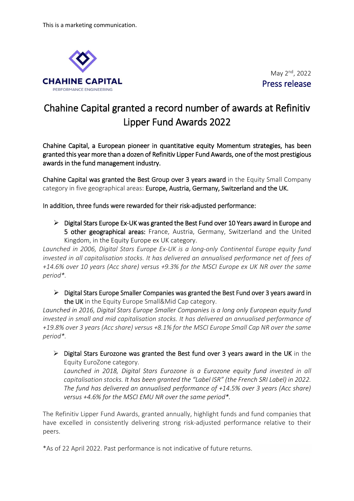

May 2<sup>nd</sup>, 2022 Press release

## Chahine Capital granted a record number of awards at Refinitiv Lipper Fund Awards 2022

Chahine Capital, a European pioneer in quantitative equity Momentum strategies, has been granted this year more than a dozen of Refinitiv Lipper Fund Awards, one of the most prestigious awards in the fund management industry.

Chahine Capital was granted the Best Group over 3 years award in the Equity Small Company category in five geographical areas: Europe, Austria, Germany, Switzerland and the UK.

In addition, three funds were rewarded for their risk-adjusted performance:

 $\triangleright$  Digital Stars Europe Ex-UK was granted the Best Fund over 10 Years award in Europe and 5 other geographical areas: France, Austria, Germany, Switzerland and the United Kingdom, in the Equity Europe ex UK category.

*Launched in 2006, Digital Stars Europe Ex-UK is a long-only Continental Europe equity fund*  invested in all capitalisation stocks. It has delivered an annualised performance net of fees of *+14.6% over 10 years (Acc share) versus +9.3% for the MSCI Europe ex UK NR over the same period\*.* 

 $\triangleright$  Digital Stars Europe Smaller Companies was granted the Best Fund over 3 years award in the UK in the Equity Europe Small&Mid Cap category.

*Launched in 2016, Digital Stars Europe Smaller Companies is a long only European equity fund invested in small and mid capitalisation stocks. It has delivered an annualised performance of +19.8% over 3 years (Acc share) versus +8.1% for the MSCI Europe Small Cap NR over the same period\*.* 

 $\triangleright$  Digital Stars Eurozone was granted the Best fund over 3 years award in the UK in the Equity EuroZone category. Launched in 2018, Digital Stars Eurozone is a Eurozone equity fund invested in all *capitalisation stocks. It has been granted the "Label ISR" (the French SRI Label) in 2022. The fund has delivered an annualised performance of +14.5% over 3 years (Acc share) versus +4.6% for the MSCI EMU NR over the same period\*.* 

The Refinitiv Lipper Fund Awards, granted annually, highlight funds and fund companies that have excelled in consistently delivering strong risk-adjusted performance relative to their peers.

\*As of 22 April 2022. Past performance is not indicative of future returns.